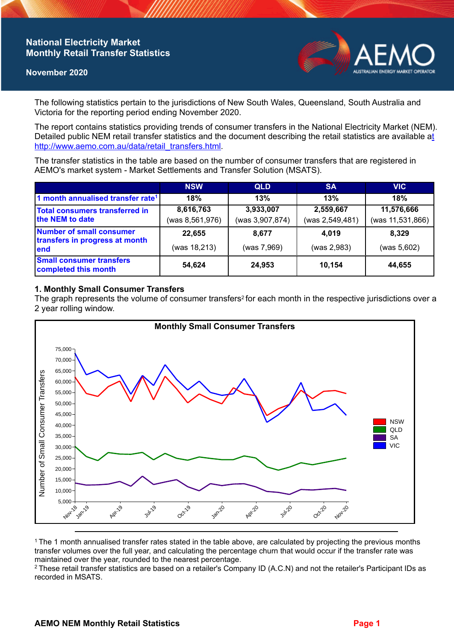# **National Electricity Market Monthly Retail Transfer Statistics**

#### **November 2020**



The following statistics pertain to the jurisdictions of New South Wales, Queensland, South Australia and Victoria for the reporting period ending November 2020.

The report contains statistics providing trends of consumer transfers in the National Electricity Market (NEM). Detailed public NEM retail transfer statistics and the document describing the retail statistics are available a[t](http://www.aemo.com.au/data/retail_transfers.html)  http://www.aemo.com.au/data/retail\_transfers.html

The transfer statistics in the table are based on the number of consumer transfers that are registered in AEMO's market system - Market Settlements and Transfer Solution (MSATS).

|                                                                    | <b>NSW</b>                     | <b>QLD</b>                   | <b>SA</b>                    | <b>VIC</b>                     |
|--------------------------------------------------------------------|--------------------------------|------------------------------|------------------------------|--------------------------------|
| 1 month annualised transfer rate <sup>1</sup>                      | 18%                            | 13%                          | 13%                          | 18%                            |
| <b>Total consumers transferred in</b><br>the NEM to date           | 8,616,763<br>(was 8, 561, 976) | 3,933,007<br>(was 3,907,874) | 2,559,667<br>(was 2,549,481) | 11,576,666<br>(was 11,531,866) |
| Number of small consumer<br>transfers in progress at month<br>lend | 22,655<br>(was 18,213)         | 8,677<br>(was 7,969)         | 4,019<br>(was 2,983)         | 8.329<br>(was 5,602)           |
| <b>Small consumer transfers</b><br>completed this month            | 54,624                         | 24,953                       | 10.154                       | 44,655                         |

## **1. Monthly Small Consumer Transfers**

The graph represents the volume of consumer transfers<sup>2</sup> for each month in the respective jurisdictions over a 2 year rolling window.



<sup>1</sup>The 1 month annualised transfer rates stated in the table above, are calculated by projecting the previous months transfer volumes over the full year, and calculating the percentage churn that would occur if the transfer rate was maintained over the year, rounded to the nearest percentage.

<sup>2</sup> These retail transfer statistics are based on a retailer's Company ID (A.C.N) and not the retailer's Participant IDs as recorded in MSATS.